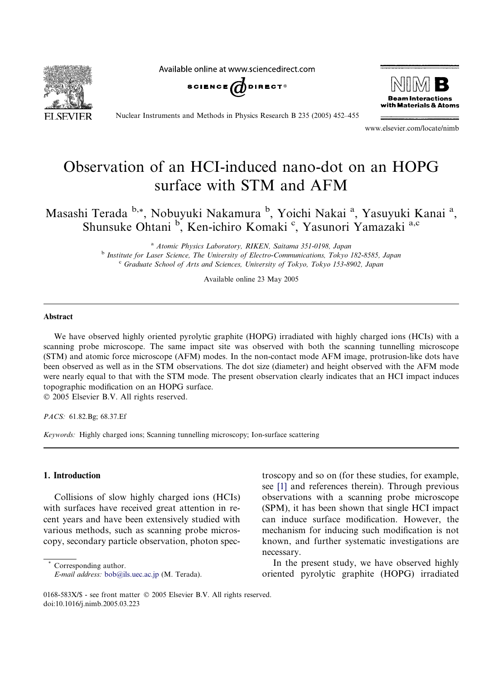Available online at www.sciencedirect.com







Nuclear Instruments and Methods in Physics Research B 235 (2005) 452–455

www.elsevier.com/locate/nimb

# Observation of an HCI-induced nano-dot on an HOPG surface with STM and AFM

Masashi Terada b,\*, Nobuyuki Nakamura <sup>b</sup>, Yoichi Nakai <sup>a</sup>, Yasuyuki Kanai <sup>a</sup>, Shunsuke Ohtani <sup>b</sup>, Ken-ichiro Komaki <sup>c</sup>, Yasunori Yamazaki a,c

> <sup>a</sup> Atomic Physics Laboratory, RIKEN, Saitama 351-0198, Japan <sup>b</sup> Institute for Laser Science, The University of Electro-Communications, Tokyo 182-8585, Japan <sup>c</sup> Graduate School of Arts and Sciences, University of Tokyo, Tokyo 153-8902, Japan

> > Available online 23 May 2005

## Abstract

We have observed highly oriented pyrolytic graphite (HOPG) irradiated with highly charged ions (HCIs) with a scanning probe microscope. The same impact site was observed with both the scanning tunnelling microscope (STM) and atomic force microscope (AFM) modes. In the non-contact mode AFM image, protrusion-like dots have been observed as well as in the STM observations. The dot size (diameter) and height observed with the AFM mode were nearly equal to that with the STM mode. The present observation clearly indicates that an HCI impact induces topographic modification on an HOPG surface. 2005 Elsevier B.V. All rights reserved.

PACS: 61.82.Bg; 68.37.Ef

Keywords: Highly charged ions; Scanning tunnelling microscopy; Ion-surface scattering

## 1. Introduction

Collisions of slow highly charged ions (HCIs) with surfaces have received great attention in recent years and have been extensively studied with various methods, such as scanning probe microscopy, secondary particle observation, photon spec-

Corresponding author. E-mail address: [bob@ils.uec.ac.jp](mailto:bob@ils.uec.ac.jp) (M. Terada). troscopy and so on (for these studies, for example, see [\[1\]](#page-3-0) and references therein). Through previous observations with a scanning probe microscope (SPM), it has been shown that single HCI impact can induce surface modification. However, the mechanism for inducing such modification is not known, and further systematic investigations are necessary.

In the present study, we have observed highly oriented pyrolytic graphite (HOPG) irradiated

<sup>0168-583</sup>X/\$ - see front matter © 2005 Elsevier B.V. All rights reserved. doi:10.1016/j.nimb.2005.03.223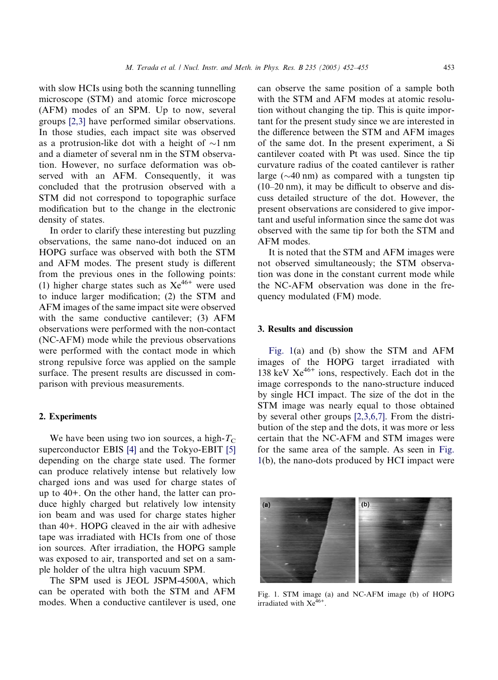with slow HCIs using both the scanning tunnelling microscope (STM) and atomic force microscope (AFM) modes of an SPM. Up to now, several groups [\[2,3\]](#page-3-0) have performed similar observations. In those studies, each impact site was observed as a protrusion-like dot with a height of  $\sim$ 1 nm and a diameter of several nm in the STM observation. However, no surface deformation was observed with an AFM. Consequently, it was concluded that the protrusion observed with a STM did not correspond to topographic surface modification but to the change in the electronic density of states.

In order to clarify these interesting but puzzling observations, the same nano-dot induced on an HOPG surface was observed with both the STM and AFM modes. The present study is different from the previous ones in the following points: (1) higher charge states such as  $Xe^{46+}$  were used to induce larger modification; (2) the STM and AFM images of the same impact site were observed with the same conductive cantilever; (3) AFM observations were performed with the non-contact (NC-AFM) mode while the previous observations were performed with the contact mode in which strong repulsive force was applied on the sample surface. The present results are discussed in comparison with previous measurements.

#### 2. Experiments

We have been using two ion sources, a high- $T_{\rm C}$ superconductor EBIS [\[4\]](#page-3-0) and the Tokyo-EBIT [\[5\]](#page-3-0) depending on the charge state used. The former can produce relatively intense but relatively low charged ions and was used for charge states of up to 40+. On the other hand, the latter can produce highly charged but relatively low intensity ion beam and was used for charge states higher than 40+. HOPG cleaved in the air with adhesive tape was irradiated with HCIs from one of those ion sources. After irradiation, the HOPG sample was exposed to air, transported and set on a sample holder of the ultra high vacuum SPM.

The SPM used is JEOL JSPM-4500A, which can be operated with both the STM and AFM modes. When a conductive cantilever is used, one can observe the same position of a sample both with the STM and AFM modes at atomic resolution without changing the tip. This is quite important for the present study since we are interested in the difference between the STM and AFM images of the same dot. In the present experiment, a Si cantilever coated with Pt was used. Since the tip curvature radius of the coated cantilever is rather large ( $\sim$ 40 nm) as compared with a tungsten tip (10–20 nm), it may be difficult to observe and discuss detailed structure of the dot. However, the present observations are considered to give important and useful information since the same dot was observed with the same tip for both the STM and AFM modes.

It is noted that the STM and AFM images were not observed simultaneously; the STM observation was done in the constant current mode while the NC-AFM observation was done in the frequency modulated (FM) mode.

### 3. Results and discussion

Fig. 1(a) and (b) show the STM and AFM images of the HOPG target irradiated with 138 keV  $Xe^{46+}$  ions, respectively. Each dot in the image corresponds to the nano-structure induced by single HCI impact. The size of the dot in the STM image was nearly equal to those obtained by several other groups [\[2,3,6,7\].](#page-3-0) From the distribution of the step and the dots, it was more or less certain that the NC-AFM and STM images were for the same area of the sample. As seen in Fig. 1(b), the nano-dots produced by HCI impact were



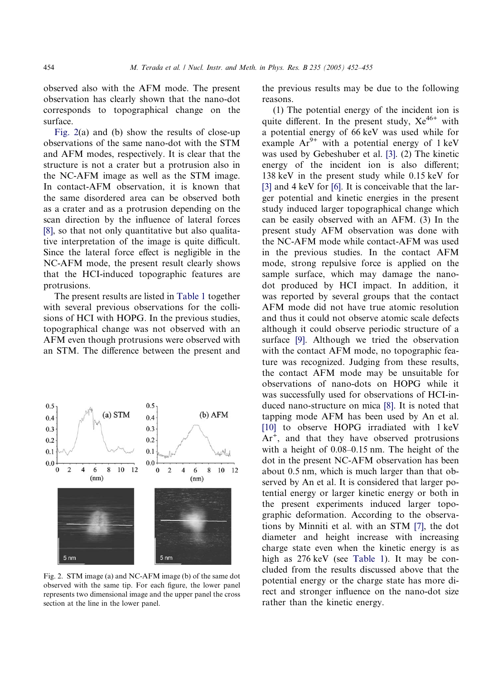observed also with the AFM mode. The present observation has clearly shown that the nano-dot corresponds to topographical change on the surface.

Fig. 2(a) and (b) show the results of close-up observations of the same nano-dot with the STM and AFM modes, respectively. It is clear that the structure is not a crater but a protrusion also in the NC-AFM image as well as the STM image. In contact-AFM observation, it is known that the same disordered area can be observed both as a crater and as a protrusion depending on the scan direction by the influence of lateral forces [\[8\],](#page-3-0) so that not only quantitative but also qualitative interpretation of the image is quite difficult. Since the lateral force effect is negligible in the NC-AFM mode, the present result clearly shows that the HCI-induced topographic features are protrusions.

The present results are listed in [Table 1](#page-3-0) together with several previous observations for the collisions of HCI with HOPG. In the previous studies, topographical change was not observed with an AFM even though protrusions were observed with an STM. The difference between the present and



Fig. 2. STM image (a) and NC-AFM image (b) of the same dot observed with the same tip. For each figure, the lower panel represents two dimensional image and the upper panel the cross section at the line in the lower panel.

the previous results may be due to the following reasons.

(1) The potential energy of the incident ion is quite different. In the present study,  $Xe^{46+}$  with a potential energy of 66 keV was used while for example  $Ar^{9+}$  with a potential energy of 1 keV was used by Gebeshuber et al. [\[3\]](#page-3-0). (2) The kinetic energy of the incident ion is also different; 138 keV in the present study while 0.15 keV for [\[3\]](#page-3-0) and 4 keV for [\[6\].](#page-3-0) It is conceivable that the larger potential and kinetic energies in the present study induced larger topographical change which can be easily observed with an AFM. (3) In the present study AFM observation was done with the NC-AFM mode while contact-AFM was used in the previous studies. In the contact AFM mode, strong repulsive force is applied on the sample surface, which may damage the nanodot produced by HCI impact. In addition, it was reported by several groups that the contact AFM mode did not have true atomic resolution and thus it could not observe atomic scale defects although it could observe periodic structure of a surface [\[9\]](#page-3-0). Although we tried the observation with the contact AFM mode, no topographic feature was recognized. Judging from these results, the contact AFM mode may be unsuitable for observations of nano-dots on HOPG while it was successfully used for observations of HCI-induced nano-structure on mica [\[8\]](#page-3-0). It is noted that tapping mode AFM has been used by An et al. [\[10\]](#page-3-0) to observe HOPG irradiated with 1 keV  $Ar<sup>+</sup>$ , and that they have observed protrusions with a height of 0.08–0.15 nm. The height of the dot in the present NC-AFM observation has been about 0.5 nm, which is much larger than that observed by An et al. It is considered that larger potential energy or larger kinetic energy or both in the present experiments induced larger topographic deformation. According to the observations by Minniti et al. with an STM [\[7\]](#page-3-0), the dot diameter and height increase with increasing charge state even when the kinetic energy is as high as  $276 \text{ keV}$  (see [Table 1](#page-3-0)). It may be concluded from the results discussed above that the potential energy or the charge state has more direct and stronger influence on the nano-dot size rather than the kinetic energy.